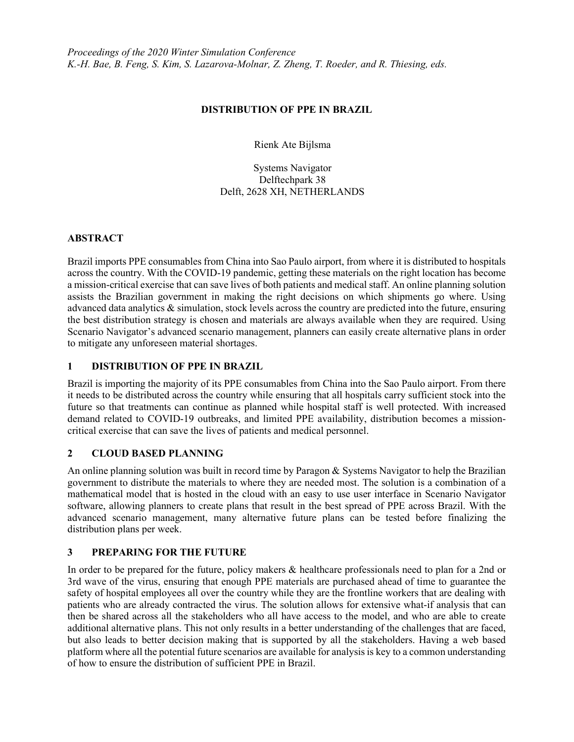#### DISTRIBUTION OF PPE IN BRAZIL

Rienk Ate Bijlsma

Systems Navigator Delftechpark 38 Delft, 2628 XH, NETHERLANDS

#### ABSTRACT

Brazil imports PPE consumables from China into Sao Paulo airport, from where it is distributed to hospitals across the country. With the COVID-19 pandemic, getting these materials on the right location has become a mission-critical exercise that can save lives of both patients and medical staff. An online planning solution assists the Brazilian government in making the right decisions on which shipments go where. Using advanced data analytics & simulation, stock levels across the country are predicted into the future, ensuring the best distribution strategy is chosen and materials are always available when they are required. Using Scenario Navigator's advanced scenario management, planners can easily create alternative plans in order to mitigate any unforeseen material shortages.

# 1 DISTRIBUTION OF PPE IN BRAZIL

Brazil is importing the majority of its PPE consumables from China into the Sao Paulo airport. From there it needs to be distributed across the country while ensuring that all hospitals carry sufficient stock into the future so that treatments can continue as planned while hospital staff is well protected. With increased demand related to COVID-19 outbreaks, and limited PPE availability, distribution becomes a missioncritical exercise that can save the lives of patients and medical personnel.

## 2 CLOUD BASED PLANNING

An online planning solution was built in record time by Paragon & Systems Navigator to help the Brazilian government to distribute the materials to where they are needed most. The solution is a combination of a mathematical model that is hosted in the cloud with an easy to use user interface in Scenario Navigator software, allowing planners to create plans that result in the best spread of PPE across Brazil. With the advanced scenario management, many alternative future plans can be tested before finalizing the distribution plans per week.

## 3 PREPARING FOR THE FUTURE

In order to be prepared for the future, policy makers & healthcare professionals need to plan for a 2nd or 3rd wave of the virus, ensuring that enough PPE materials are purchased ahead of time to guarantee the safety of hospital employees all over the country while they are the frontline workers that are dealing with patients who are already contracted the virus. The solution allows for extensive what-if analysis that can then be shared across all the stakeholders who all have access to the model, and who are able to create additional alternative plans. This not only results in a better understanding of the challenges that are faced, but also leads to better decision making that is supported by all the stakeholders. Having a web based platform where all the potential future scenarios are available for analysis is key to a common understanding of how to ensure the distribution of sufficient PPE in Brazil.